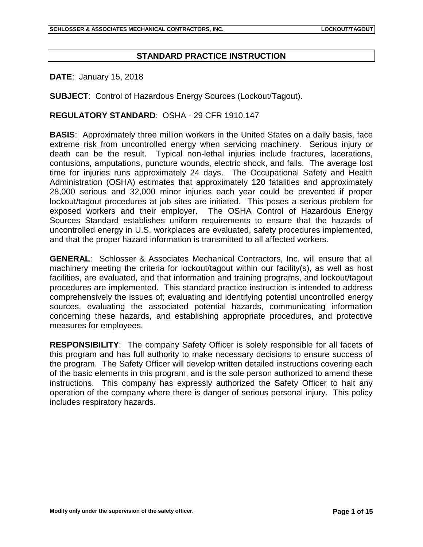# **STANDARD PRACTICE INSTRUCTION**

**DATE**: January 15, 2018

**SUBJECT**: Control of Hazardous Energy Sources (Lockout/Tagout).

## **REGULATORY STANDARD**: OSHA - 29 CFR 1910.147

**BASIS**: Approximately three million workers in the United States on a daily basis, face extreme risk from uncontrolled energy when servicing machinery. Serious injury or death can be the result. Typical non-lethal injuries include fractures, lacerations, contusions, amputations, puncture wounds, electric shock, and falls. The average lost time for injuries runs approximately 24 days. The Occupational Safety and Health Administration (OSHA) estimates that approximately 120 fatalities and approximately 28,000 serious and 32,000 minor injuries each year could be prevented if proper lockout/tagout procedures at job sites are initiated. This poses a serious problem for exposed workers and their employer. The OSHA Control of Hazardous Energy Sources Standard establishes uniform requirements to ensure that the hazards of uncontrolled energy in U.S. workplaces are evaluated, safety procedures implemented, and that the proper hazard information is transmitted to all affected workers.

**GENERAL**: Schlosser & Associates Mechanical Contractors, Inc. will ensure that all machinery meeting the criteria for lockout/tagout within our facility(s), as well as host facilities, are evaluated, and that information and training programs, and lockout/tagout procedures are implemented. This standard practice instruction is intended to address comprehensively the issues of; evaluating and identifying potential uncontrolled energy sources, evaluating the associated potential hazards, communicating information concerning these hazards, and establishing appropriate procedures, and protective measures for employees.

**RESPONSIBILITY**: The company Safety Officer is solely responsible for all facets of this program and has full authority to make necessary decisions to ensure success of the program. The Safety Officer will develop written detailed instructions covering each of the basic elements in this program, and is the sole person authorized to amend these instructions. This company has expressly authorized the Safety Officer to halt any operation of the company where there is danger of serious personal injury. This policy includes respiratory hazards.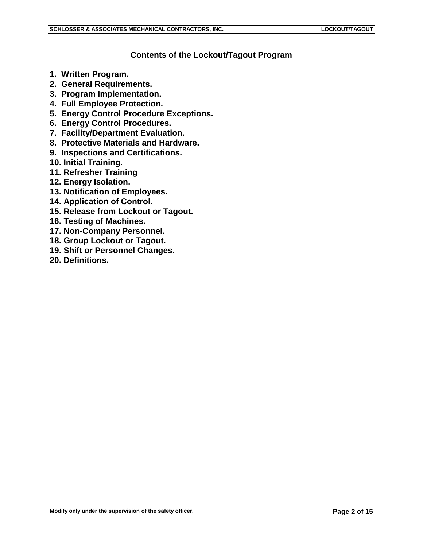# **Contents of the Lockout/Tagout Program**

- **1. Written Program.**
- **2. General Requirements.**
- **3. Program Implementation.**
- **4. Full Employee Protection.**
- **5. Energy Control Procedure Exceptions.**
- **6. Energy Control Procedures.**
- **7. Facility/Department Evaluation.**
- **8. Protective Materials and Hardware.**
- **9. Inspections and Certifications.**
- **10. Initial Training.**
- **11. Refresher Training**
- **12. Energy Isolation.**
- **13. Notification of Employees.**
- **14. Application of Control.**
- **15. Release from Lockout or Tagout.**
- **16. Testing of Machines.**
- **17. Non-Company Personnel.**
- **18. Group Lockout or Tagout.**
- **19. Shift or Personnel Changes.**
- **20. Definitions.**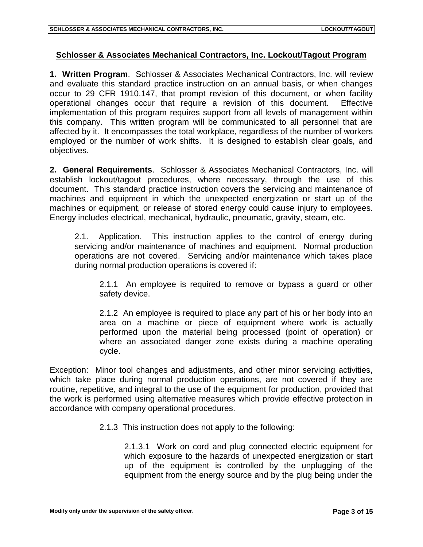# **Schlosser & Associates Mechanical Contractors, Inc. Lockout/Tagout Program**

**1. Written Program**. Schlosser & Associates Mechanical Contractors, Inc. will review and evaluate this standard practice instruction on an annual basis, or when changes occur to 29 CFR 1910.147, that prompt revision of this document, or when facility operational changes occur that require a revision of this document. Effective implementation of this program requires support from all levels of management within this company. This written program will be communicated to all personnel that are affected by it. It encompasses the total workplace, regardless of the number of workers employed or the number of work shifts. It is designed to establish clear goals, and objectives.

**2. General Requirements**. Schlosser & Associates Mechanical Contractors, Inc. will establish lockout/tagout procedures, where necessary, through the use of this document. This standard practice instruction covers the servicing and maintenance of machines and equipment in which the unexpected energization or start up of the machines or equipment, or release of stored energy could cause injury to employees. Energy includes electrical, mechanical, hydraulic, pneumatic, gravity, steam, etc.

2.1. Application. This instruction applies to the control of energy during servicing and/or maintenance of machines and equipment. Normal production operations are not covered. Servicing and/or maintenance which takes place during normal production operations is covered if:

2.1.1 An employee is required to remove or bypass a guard or other safety device.

2.1.2 An employee is required to place any part of his or her body into an area on a machine or piece of equipment where work is actually performed upon the material being processed (point of operation) or where an associated danger zone exists during a machine operating cycle.

Exception: Minor tool changes and adjustments, and other minor servicing activities, which take place during normal production operations, are not covered if they are routine, repetitive, and integral to the use of the equipment for production, provided that the work is performed using alternative measures which provide effective protection in accordance with company operational procedures.

2.1.3 This instruction does not apply to the following:

2.1.3.1 Work on cord and plug connected electric equipment for which exposure to the hazards of unexpected energization or start up of the equipment is controlled by the unplugging of the equipment from the energy source and by the plug being under the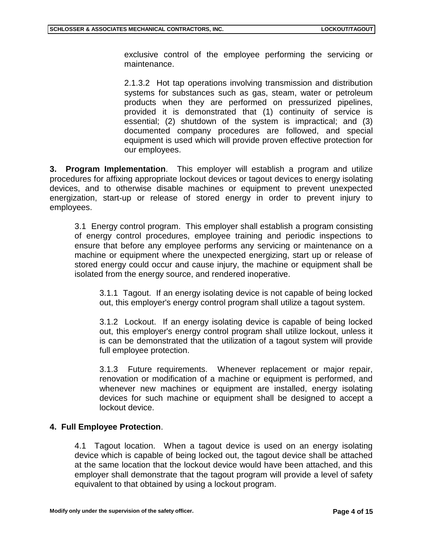exclusive control of the employee performing the servicing or maintenance.

2.1.3.2 Hot tap operations involving transmission and distribution systems for substances such as gas, steam, water or petroleum products when they are performed on pressurized pipelines, provided it is demonstrated that (1) continuity of service is essential; (2) shutdown of the system is impractical; and (3) documented company procedures are followed, and special equipment is used which will provide proven effective protection for our employees.

**3. Program Implementation**. This employer will establish a program and utilize procedures for affixing appropriate lockout devices or tagout devices to energy isolating devices, and to otherwise disable machines or equipment to prevent unexpected energization, start-up or release of stored energy in order to prevent injury to employees.

3.1 Energy control program. This employer shall establish a program consisting of energy control procedures, employee training and periodic inspections to ensure that before any employee performs any servicing or maintenance on a machine or equipment where the unexpected energizing, start up or release of stored energy could occur and cause injury, the machine or equipment shall be isolated from the energy source, and rendered inoperative.

3.1.1 Tagout. If an energy isolating device is not capable of being locked out, this employer's energy control program shall utilize a tagout system.

3.1.2 Lockout. If an energy isolating device is capable of being locked out, this employer's energy control program shall utilize lockout, unless it is can be demonstrated that the utilization of a tagout system will provide full employee protection.

3.1.3 Future requirements. Whenever replacement or major repair, renovation or modification of a machine or equipment is performed, and whenever new machines or equipment are installed, energy isolating devices for such machine or equipment shall be designed to accept a lockout device.

## **4. Full Employee Protection**.

4.1 Tagout location. When a tagout device is used on an energy isolating device which is capable of being locked out, the tagout device shall be attached at the same location that the lockout device would have been attached, and this employer shall demonstrate that the tagout program will provide a level of safety equivalent to that obtained by using a lockout program.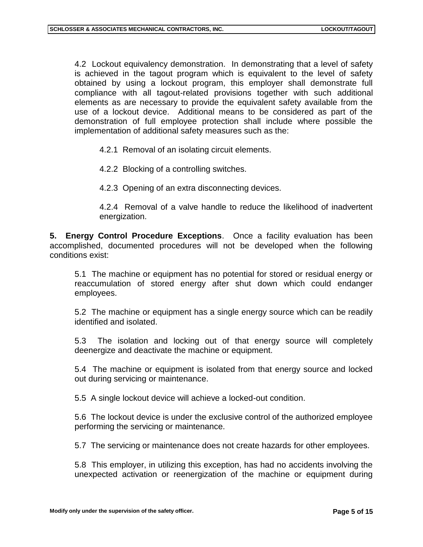4.2 Lockout equivalency demonstration. In demonstrating that a level of safety is achieved in the tagout program which is equivalent to the level of safety obtained by using a lockout program, this employer shall demonstrate full compliance with all tagout-related provisions together with such additional elements as are necessary to provide the equivalent safety available from the use of a lockout device. Additional means to be considered as part of the demonstration of full employee protection shall include where possible the implementation of additional safety measures such as the:

4.2.1 Removal of an isolating circuit elements.

4.2.2 Blocking of a controlling switches.

4.2.3 Opening of an extra disconnecting devices.

4.2.4 Removal of a valve handle to reduce the likelihood of inadvertent energization.

**5. Energy Control Procedure Exceptions**. Once a facility evaluation has been accomplished, documented procedures will not be developed when the following conditions exist:

5.1 The machine or equipment has no potential for stored or residual energy or reaccumulation of stored energy after shut down which could endanger employees.

5.2 The machine or equipment has a single energy source which can be readily identified and isolated.

5.3 The isolation and locking out of that energy source will completely deenergize and deactivate the machine or equipment.

5.4 The machine or equipment is isolated from that energy source and locked out during servicing or maintenance.

5.5 A single lockout device will achieve a locked-out condition.

5.6 The lockout device is under the exclusive control of the authorized employee performing the servicing or maintenance.

5.7 The servicing or maintenance does not create hazards for other employees.

5.8 This employer, in utilizing this exception, has had no accidents involving the unexpected activation or reenergization of the machine or equipment during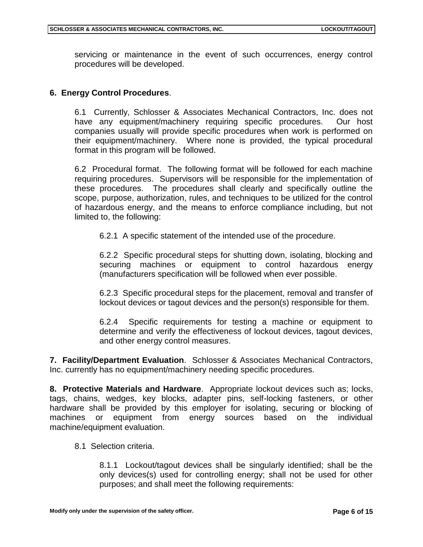servicing or maintenance in the event of such occurrences, energy control procedures will be developed.

## **6. Energy Control Procedures**.

6.1 Currently, Schlosser & Associates Mechanical Contractors, Inc. does not have any equipment/machinery requiring specific procedures. Our host companies usually will provide specific procedures when work is performed on their equipment/machinery. Where none is provided, the typical procedural format in this program will be followed.

6.2 Procedural format. The following format will be followed for each machine requiring procedures. Supervisors will be responsible for the implementation of these procedures. The procedures shall clearly and specifically outline the scope, purpose, authorization, rules, and techniques to be utilized for the control of hazardous energy, and the means to enforce compliance including, but not limited to, the following:

6.2.1 A specific statement of the intended use of the procedure.

6.2.2 Specific procedural steps for shutting down, isolating, blocking and securing machines or equipment to control hazardous energy (manufacturers specification will be followed when ever possible.

6.2.3 Specific procedural steps for the placement, removal and transfer of lockout devices or tagout devices and the person(s) responsible for them.

6.2.4 Specific requirements for testing a machine or equipment to determine and verify the effectiveness of lockout devices, tagout devices, and other energy control measures.

**7. Facility/Department Evaluation**. Schlosser & Associates Mechanical Contractors, Inc. currently has no equipment/machinery needing specific procedures.

**8. Protective Materials and Hardware**. Appropriate lockout devices such as; locks, tags, chains, wedges, key blocks, adapter pins, self-locking fasteners, or other hardware shall be provided by this employer for isolating, securing or blocking of machines or equipment from energy sources based on the individual machine/equipment evaluation.

8.1 Selection criteria.

8.1.1 Lockout/tagout devices shall be singularly identified; shall be the only devices(s) used for controlling energy; shall not be used for other purposes; and shall meet the following requirements: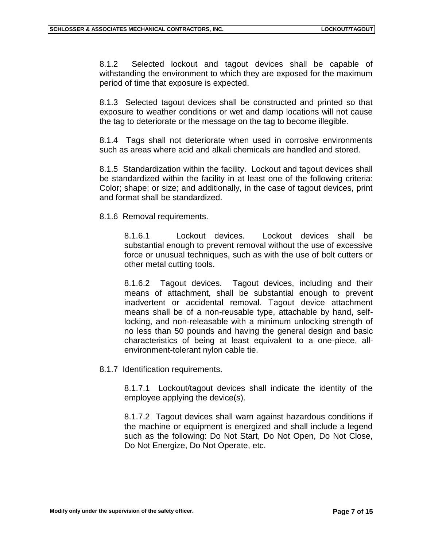8.1.2 Selected lockout and tagout devices shall be capable of withstanding the environment to which they are exposed for the maximum period of time that exposure is expected.

8.1.3 Selected tagout devices shall be constructed and printed so that exposure to weather conditions or wet and damp locations will not cause the tag to deteriorate or the message on the tag to become illegible.

8.1.4 Tags shall not deteriorate when used in corrosive environments such as areas where acid and alkali chemicals are handled and stored.

8.1.5 Standardization within the facility. Lockout and tagout devices shall be standardized within the facility in at least one of the following criteria: Color; shape; or size; and additionally, in the case of tagout devices, print and format shall be standardized.

8.1.6 Removal requirements.

8.1.6.1 Lockout devices. Lockout devices shall be substantial enough to prevent removal without the use of excessive force or unusual techniques, such as with the use of bolt cutters or other metal cutting tools.

8.1.6.2 Tagout devices. Tagout devices, including and their means of attachment, shall be substantial enough to prevent inadvertent or accidental removal. Tagout device attachment means shall be of a non-reusable type, attachable by hand, selflocking, and non-releasable with a minimum unlocking strength of no less than 50 pounds and having the general design and basic characteristics of being at least equivalent to a one-piece, allenvironment-tolerant nylon cable tie.

8.1.7 Identification requirements.

8.1.7.1 Lockout/tagout devices shall indicate the identity of the employee applying the device(s).

8.1.7.2 Tagout devices shall warn against hazardous conditions if the machine or equipment is energized and shall include a legend such as the following: Do Not Start, Do Not Open, Do Not Close, Do Not Energize, Do Not Operate, etc.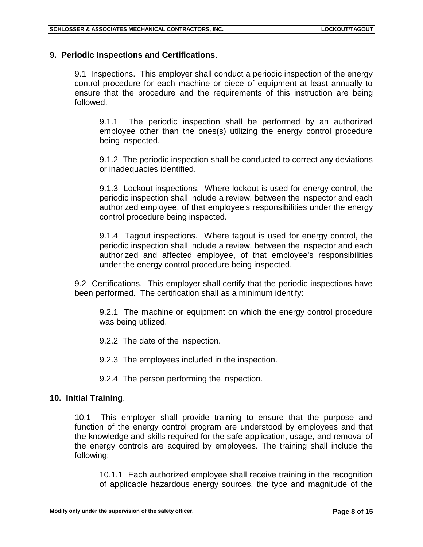### **9. Periodic Inspections and Certifications**.

9.1 Inspections. This employer shall conduct a periodic inspection of the energy control procedure for each machine or piece of equipment at least annually to ensure that the procedure and the requirements of this instruction are being followed.

9.1.1 The periodic inspection shall be performed by an authorized employee other than the ones(s) utilizing the energy control procedure being inspected.

9.1.2 The periodic inspection shall be conducted to correct any deviations or inadequacies identified.

9.1.3 Lockout inspections. Where lockout is used for energy control, the periodic inspection shall include a review, between the inspector and each authorized employee, of that employee's responsibilities under the energy control procedure being inspected.

9.1.4 Tagout inspections. Where tagout is used for energy control, the periodic inspection shall include a review, between the inspector and each authorized and affected employee, of that employee's responsibilities under the energy control procedure being inspected.

9.2 Certifications. This employer shall certify that the periodic inspections have been performed. The certification shall as a minimum identify:

9.2.1 The machine or equipment on which the energy control procedure was being utilized.

9.2.2 The date of the inspection.

9.2.3 The employees included in the inspection.

9.2.4 The person performing the inspection.

#### **10. Initial Training**.

10.1 This employer shall provide training to ensure that the purpose and function of the energy control program are understood by employees and that the knowledge and skills required for the safe application, usage, and removal of the energy controls are acquired by employees. The training shall include the following:

10.1.1 Each authorized employee shall receive training in the recognition of applicable hazardous energy sources, the type and magnitude of the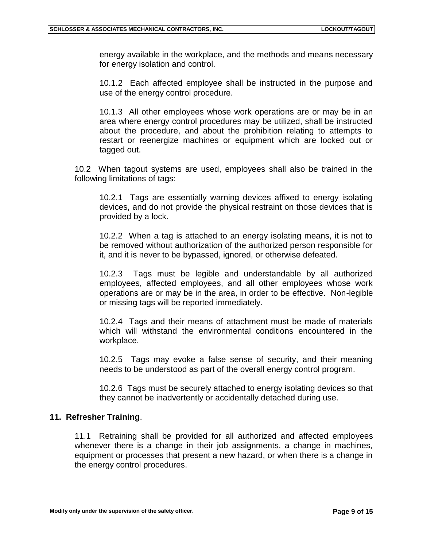energy available in the workplace, and the methods and means necessary for energy isolation and control.

10.1.2 Each affected employee shall be instructed in the purpose and use of the energy control procedure.

10.1.3 All other employees whose work operations are or may be in an area where energy control procedures may be utilized, shall be instructed about the procedure, and about the prohibition relating to attempts to restart or reenergize machines or equipment which are locked out or tagged out.

10.2 When tagout systems are used, employees shall also be trained in the following limitations of tags:

10.2.1 Tags are essentially warning devices affixed to energy isolating devices, and do not provide the physical restraint on those devices that is provided by a lock.

10.2.2 When a tag is attached to an energy isolating means, it is not to be removed without authorization of the authorized person responsible for it, and it is never to be bypassed, ignored, or otherwise defeated.

10.2.3 Tags must be legible and understandable by all authorized employees, affected employees, and all other employees whose work operations are or may be in the area, in order to be effective. Non-legible or missing tags will be reported immediately.

10.2.4 Tags and their means of attachment must be made of materials which will withstand the environmental conditions encountered in the workplace.

10.2.5 Tags may evoke a false sense of security, and their meaning needs to be understood as part of the overall energy control program.

10.2.6 Tags must be securely attached to energy isolating devices so that they cannot be inadvertently or accidentally detached during use.

## **11. Refresher Training**.

11.1 Retraining shall be provided for all authorized and affected employees whenever there is a change in their job assignments, a change in machines, equipment or processes that present a new hazard, or when there is a change in the energy control procedures.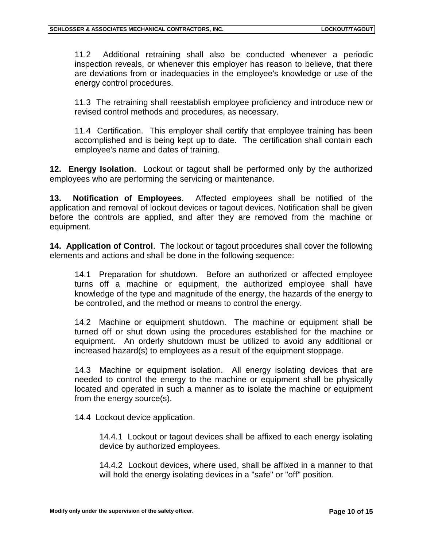11.2 Additional retraining shall also be conducted whenever a periodic inspection reveals, or whenever this employer has reason to believe, that there are deviations from or inadequacies in the employee's knowledge or use of the energy control procedures.

11.3 The retraining shall reestablish employee proficiency and introduce new or revised control methods and procedures, as necessary.

11.4 Certification. This employer shall certify that employee training has been accomplished and is being kept up to date. The certification shall contain each employee's name and dates of training.

**12. Energy Isolation**. Lockout or tagout shall be performed only by the authorized employees who are performing the servicing or maintenance.

**13. Notification of Employees**. Affected employees shall be notified of the application and removal of lockout devices or tagout devices. Notification shall be given before the controls are applied, and after they are removed from the machine or equipment.

**14. Application of Control**. The lockout or tagout procedures shall cover the following elements and actions and shall be done in the following sequence:

14.1 Preparation for shutdown. Before an authorized or affected employee turns off a machine or equipment, the authorized employee shall have knowledge of the type and magnitude of the energy, the hazards of the energy to be controlled, and the method or means to control the energy.

14.2 Machine or equipment shutdown. The machine or equipment shall be turned off or shut down using the procedures established for the machine or equipment. An orderly shutdown must be utilized to avoid any additional or increased hazard(s) to employees as a result of the equipment stoppage.

14.3 Machine or equipment isolation. All energy isolating devices that are needed to control the energy to the machine or equipment shall be physically located and operated in such a manner as to isolate the machine or equipment from the energy source(s).

14.4 Lockout device application.

14.4.1 Lockout or tagout devices shall be affixed to each energy isolating device by authorized employees.

14.4.2 Lockout devices, where used, shall be affixed in a manner to that will hold the energy isolating devices in a "safe" or "off" position.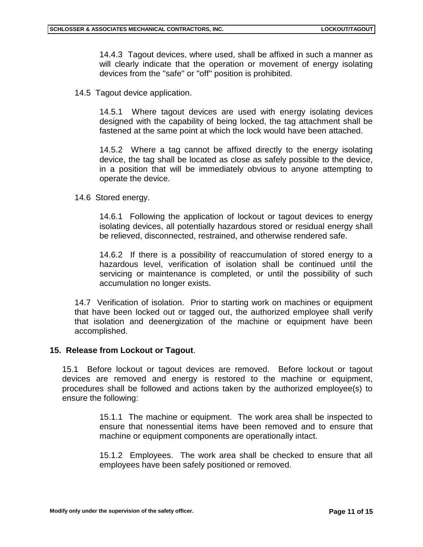14.4.3 Tagout devices, where used, shall be affixed in such a manner as will clearly indicate that the operation or movement of energy isolating devices from the "safe" or "off" position is prohibited.

14.5 Tagout device application.

14.5.1 Where tagout devices are used with energy isolating devices designed with the capability of being locked, the tag attachment shall be fastened at the same point at which the lock would have been attached.

14.5.2 Where a tag cannot be affixed directly to the energy isolating device, the tag shall be located as close as safely possible to the device, in a position that will be immediately obvious to anyone attempting to operate the device.

14.6 Stored energy.

14.6.1 Following the application of lockout or tagout devices to energy isolating devices, all potentially hazardous stored or residual energy shall be relieved, disconnected, restrained, and otherwise rendered safe.

14.6.2 If there is a possibility of reaccumulation of stored energy to a hazardous level, verification of isolation shall be continued until the servicing or maintenance is completed, or until the possibility of such accumulation no longer exists.

14.7 Verification of isolation. Prior to starting work on machines or equipment that have been locked out or tagged out, the authorized employee shall verify that isolation and deenergization of the machine or equipment have been accomplished.

## **15. Release from Lockout or Tagout**.

15.1 Before lockout or tagout devices are removed. Before lockout or tagout devices are removed and energy is restored to the machine or equipment, procedures shall be followed and actions taken by the authorized employee(s) to ensure the following:

> 15.1.1 The machine or equipment. The work area shall be inspected to ensure that nonessential items have been removed and to ensure that machine or equipment components are operationally intact.

> 15.1.2 Employees. The work area shall be checked to ensure that all employees have been safely positioned or removed.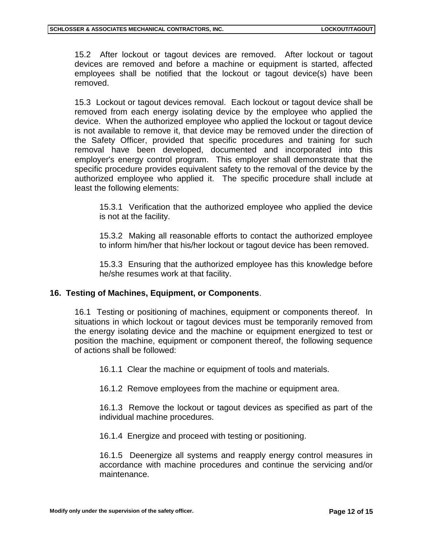15.2 After lockout or tagout devices are removed. After lockout or tagout devices are removed and before a machine or equipment is started, affected employees shall be notified that the lockout or tagout device(s) have been removed.

15.3 Lockout or tagout devices removal. Each lockout or tagout device shall be removed from each energy isolating device by the employee who applied the device. When the authorized employee who applied the lockout or tagout device is not available to remove it, that device may be removed under the direction of the Safety Officer, provided that specific procedures and training for such removal have been developed, documented and incorporated into this employer's energy control program. This employer shall demonstrate that the specific procedure provides equivalent safety to the removal of the device by the authorized employee who applied it. The specific procedure shall include at least the following elements:

15.3.1 Verification that the authorized employee who applied the device is not at the facility.

15.3.2 Making all reasonable efforts to contact the authorized employee to inform him/her that his/her lockout or tagout device has been removed.

15.3.3 Ensuring that the authorized employee has this knowledge before he/she resumes work at that facility.

## **16. Testing of Machines, Equipment, or Components**.

16.1 Testing or positioning of machines, equipment or components thereof. In situations in which lockout or tagout devices must be temporarily removed from the energy isolating device and the machine or equipment energized to test or position the machine, equipment or component thereof, the following sequence of actions shall be followed:

16.1.1 Clear the machine or equipment of tools and materials.

16.1.2 Remove employees from the machine or equipment area.

16.1.3 Remove the lockout or tagout devices as specified as part of the individual machine procedures.

16.1.4 Energize and proceed with testing or positioning.

16.1.5 Deenergize all systems and reapply energy control measures in accordance with machine procedures and continue the servicing and/or maintenance.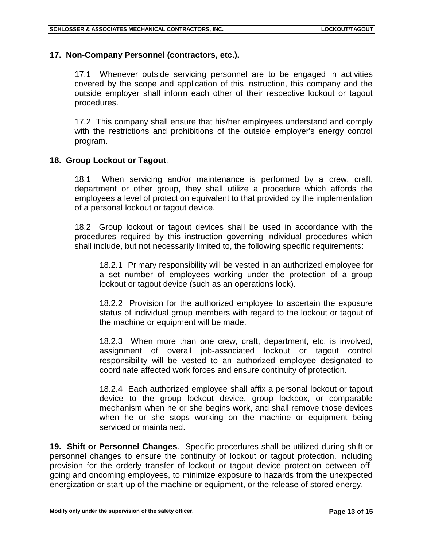## **17. Non-Company Personnel (contractors, etc.).**

17.1 Whenever outside servicing personnel are to be engaged in activities covered by the scope and application of this instruction, this company and the outside employer shall inform each other of their respective lockout or tagout procedures.

17.2 This company shall ensure that his/her employees understand and comply with the restrictions and prohibitions of the outside employer's energy control program.

### **18. Group Lockout or Tagout**.

18.1 When servicing and/or maintenance is performed by a crew, craft, department or other group, they shall utilize a procedure which affords the employees a level of protection equivalent to that provided by the implementation of a personal lockout or tagout device.

18.2 Group lockout or tagout devices shall be used in accordance with the procedures required by this instruction governing individual procedures which shall include, but not necessarily limited to, the following specific requirements:

18.2.1 Primary responsibility will be vested in an authorized employee for a set number of employees working under the protection of a group lockout or tagout device (such as an operations lock).

18.2.2 Provision for the authorized employee to ascertain the exposure status of individual group members with regard to the lockout or tagout of the machine or equipment will be made.

18.2.3 When more than one crew, craft, department, etc. is involved, assignment of overall job-associated lockout or tagout control responsibility will be vested to an authorized employee designated to coordinate affected work forces and ensure continuity of protection.

18.2.4 Each authorized employee shall affix a personal lockout or tagout device to the group lockout device, group lockbox, or comparable mechanism when he or she begins work, and shall remove those devices when he or she stops working on the machine or equipment being serviced or maintained.

**19. Shift or Personnel Changes**. Specific procedures shall be utilized during shift or personnel changes to ensure the continuity of lockout or tagout protection, including provision for the orderly transfer of lockout or tagout device protection between offgoing and oncoming employees, to minimize exposure to hazards from the unexpected energization or start-up of the machine or equipment, or the release of stored energy.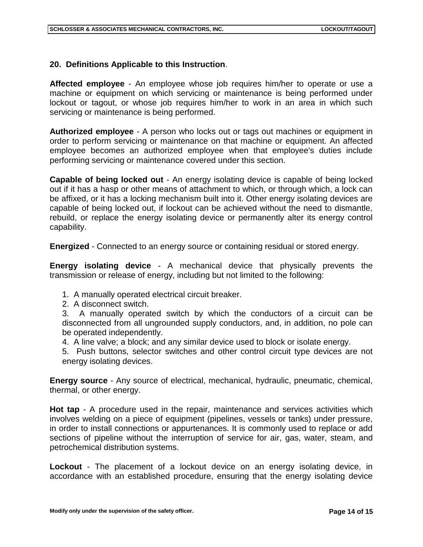## **20. Definitions Applicable to this Instruction**.

**Affected employee** - An employee whose job requires him/her to operate or use a machine or equipment on which servicing or maintenance is being performed under lockout or tagout, or whose job requires him/her to work in an area in which such servicing or maintenance is being performed.

**Authorized employee** - A person who locks out or tags out machines or equipment in order to perform servicing or maintenance on that machine or equipment. An affected employee becomes an authorized employee when that employee's duties include performing servicing or maintenance covered under this section.

**Capable of being locked out** - An energy isolating device is capable of being locked out if it has a hasp or other means of attachment to which, or through which, a lock can be affixed, or it has a locking mechanism built into it. Other energy isolating devices are capable of being locked out, if lockout can be achieved without the need to dismantle, rebuild, or replace the energy isolating device or permanently alter its energy control capability.

**Energized** - Connected to an energy source or containing residual or stored energy.

**Energy isolating device** - A mechanical device that physically prevents the transmission or release of energy, including but not limited to the following:

- 1. A manually operated electrical circuit breaker.
- 2. A disconnect switch.

3. A manually operated switch by which the conductors of a circuit can be disconnected from all ungrounded supply conductors, and, in addition, no pole can be operated independently.

4. A line valve; a block; and any similar device used to block or isolate energy.

5. Push buttons, selector switches and other control circuit type devices are not energy isolating devices.

**Energy source** - Any source of electrical, mechanical, hydraulic, pneumatic, chemical, thermal, or other energy.

**Hot tap** - A procedure used in the repair, maintenance and services activities which involves welding on a piece of equipment (pipelines, vessels or tanks) under pressure, in order to install connections or appurtenances. It is commonly used to replace or add sections of pipeline without the interruption of service for air, gas, water, steam, and petrochemical distribution systems.

**Lockout** - The placement of a lockout device on an energy isolating device, in accordance with an established procedure, ensuring that the energy isolating device